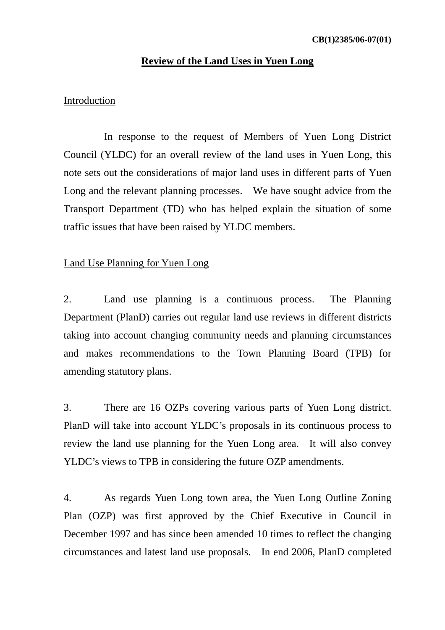#### **Review of the Land Uses in Yuen Long**

### Introduction

 In response to the request of Members of Yuen Long District Council (YLDC) for an overall review of the land uses in Yuen Long, this note sets out the considerations of major land uses in different parts of Yuen Long and the relevant planning processes. We have sought advice from the Transport Department (TD) who has helped explain the situation of some traffic issues that have been raised by YLDC members.

## Land Use Planning for Yuen Long

2. Land use planning is a continuous process. The Planning Department (PlanD) carries out regular land use reviews in different districts taking into account changing community needs and planning circumstances and makes recommendations to the Town Planning Board (TPB) for amending statutory plans.

3. There are 16 OZPs covering various parts of Yuen Long district. PlanD will take into account YLDC's proposals in its continuous process to review the land use planning for the Yuen Long area. It will also convey YLDC's views to TPB in considering the future OZP amendments.

4. As regards Yuen Long town area, the Yuen Long Outline Zoning Plan (OZP) was first approved by the Chief Executive in Council in December 1997 and has since been amended 10 times to reflect the changing circumstances and latest land use proposals. In end 2006, PlanD completed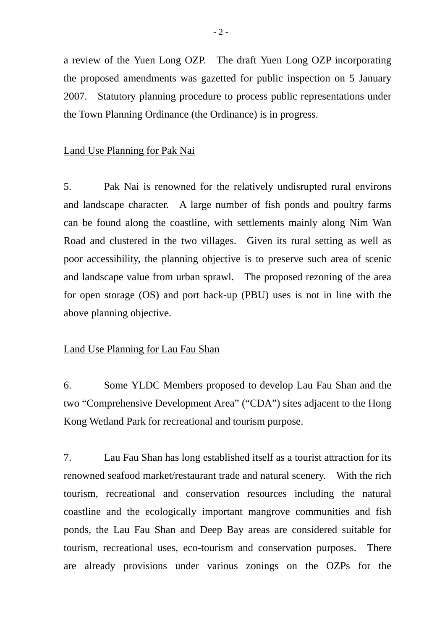a review of the Yuen Long OZP. The draft Yuen Long OZP incorporating the proposed amendments was gazetted for public inspection on 5 January 2007. Statutory planning procedure to process public representations under the Town Planning Ordinance (the Ordinance) is in progress.

### Land Use Planning for Pak Nai

5. Pak Nai is renowned for the relatively undisrupted rural environs and landscape character. A large number of fish ponds and poultry farms can be found along the coastline, with settlements mainly along Nim Wan Road and clustered in the two villages. Given its rural setting as well as poor accessibility, the planning objective is to preserve such area of scenic and landscape value from urban sprawl. The proposed rezoning of the area for open storage (OS) and port back-up (PBU) uses is not in line with the above planning objective.

## Land Use Planning for Lau Fau Shan

6. Some YLDC Members proposed to develop Lau Fau Shan and the two "Comprehensive Development Area" ("CDA") sites adjacent to the Hong Kong Wetland Park for recreational and tourism purpose.

7. Lau Fau Shan has long established itself as a tourist attraction for its renowned seafood market/restaurant trade and natural scenery. With the rich tourism, recreational and conservation resources including the natural coastline and the ecologically important mangrove communities and fish ponds, the Lau Fau Shan and Deep Bay areas are considered suitable for tourism, recreational uses, eco-tourism and conservation purposes. There are already provisions under various zonings on the OZPs for the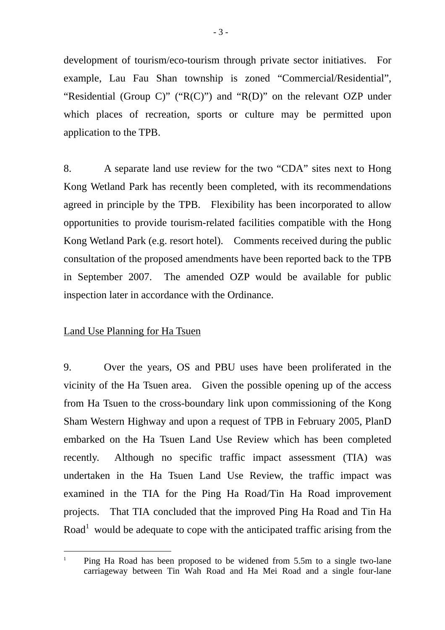development of tourism/eco-tourism through private sector initiatives. For example, Lau Fau Shan township is zoned "Commercial/Residential", "Residential (Group C)" ("R(C)") and "R(D)" on the relevant OZP under which places of recreation, sports or culture may be permitted upon application to the TPB.

8. A separate land use review for the two "CDA" sites next to Hong Kong Wetland Park has recently been completed, with its recommendations agreed in principle by the TPB. Flexibility has been incorporated to allow opportunities to provide tourism-related facilities compatible with the Hong Kong Wetland Park (e.g. resort hotel). Comments received during the public consultation of the proposed amendments have been reported back to the TPB in September 2007. The amended OZP would be available for public inspection later in accordance with the Ordinance.

## Land Use Planning for Ha Tsuen

 $\overline{a}$ 

9. Over the years, OS and PBU uses have been proliferated in the vicinity of the Ha Tsuen area. Given the possible opening up of the access from Ha Tsuen to the cross-boundary link upon commissioning of the Kong Sham Western Highway and upon a request of TPB in February 2005, PlanD embarked on the Ha Tsuen Land Use Review which has been completed recently. Although no specific traffic impact assessment (TIA) was undertaken in the Ha Tsuen Land Use Review, the traffic impact was examined in the TIA for the Ping Ha Road/Tin Ha Road improvement projects. That TIA concluded that the improved Ping Ha Road and Tin Ha Road<sup>1</sup> would be adequate to cope with the anticipated traffic arising from the

<sup>1</sup> Ping Ha Road has been proposed to be widened from 5.5m to a single two-lane carriageway between Tin Wah Road and Ha Mei Road and a single four-lane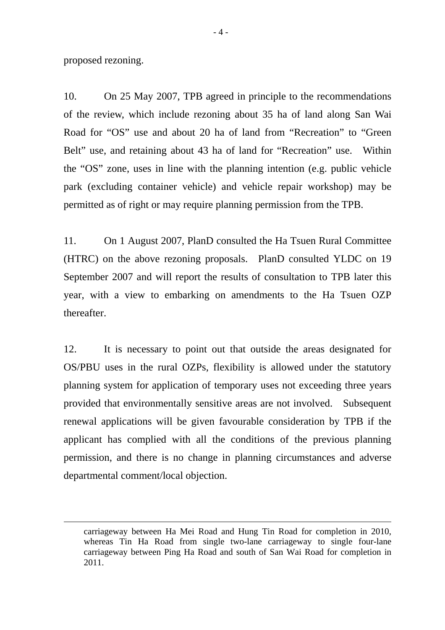proposed rezoning.

1

10. On 25 May 2007, TPB agreed in principle to the recommendations of the review, which include rezoning about 35 ha of land along San Wai Road for "OS" use and about 20 ha of land from "Recreation" to "Green Belt" use, and retaining about 43 ha of land for "Recreation" use. Within the "OS" zone, uses in line with the planning intention (e.g. public vehicle park (excluding container vehicle) and vehicle repair workshop) may be permitted as of right or may require planning permission from the TPB.

11. On 1 August 2007, PlanD consulted the Ha Tsuen Rural Committee (HTRC) on the above rezoning proposals. PlanD consulted YLDC on 19 September 2007 and will report the results of consultation to TPB later this year, with a view to embarking on amendments to the Ha Tsuen OZP thereafter.

12. It is necessary to point out that outside the areas designated for OS/PBU uses in the rural OZPs, flexibility is allowed under the statutory planning system for application of temporary uses not exceeding three years provided that environmentally sensitive areas are not involved. Subsequent renewal applications will be given favourable consideration by TPB if the applicant has complied with all the conditions of the previous planning permission, and there is no change in planning circumstances and adverse departmental comment/local objection.

carriageway between Ha Mei Road and Hung Tin Road for completion in 2010, whereas Tin Ha Road from single two-lane carriageway to single four-lane carriageway between Ping Ha Road and south of San Wai Road for completion in 2011.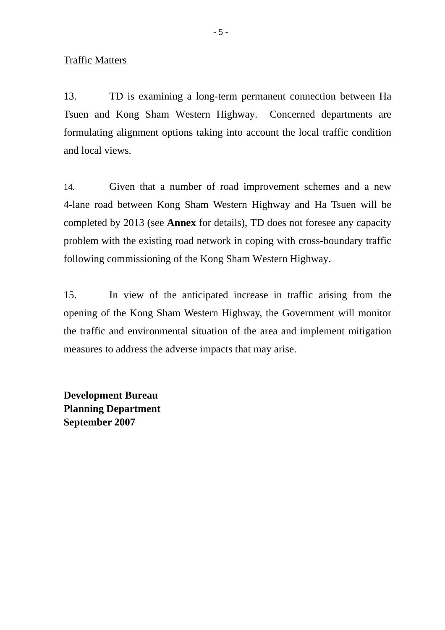Traffic Matters

13. TD is examining a long-term permanent connection between Ha Tsuen and Kong Sham Western Highway. Concerned departments are formulating alignment options taking into account the local traffic condition and local views.

14. Given that a number of road improvement schemes and a new 4-lane road between Kong Sham Western Highway and Ha Tsuen will be completed by 2013 (see **Annex** for details), TD does not foresee any capacity problem with the existing road network in coping with cross-boundary traffic following commissioning of the Kong Sham Western Highway.

15. In view of the anticipated increase in traffic arising from the opening of the Kong Sham Western Highway, the Government will monitor the traffic and environmental situation of the area and implement mitigation measures to address the adverse impacts that may arise.

**Development Bureau Planning Department September 2007**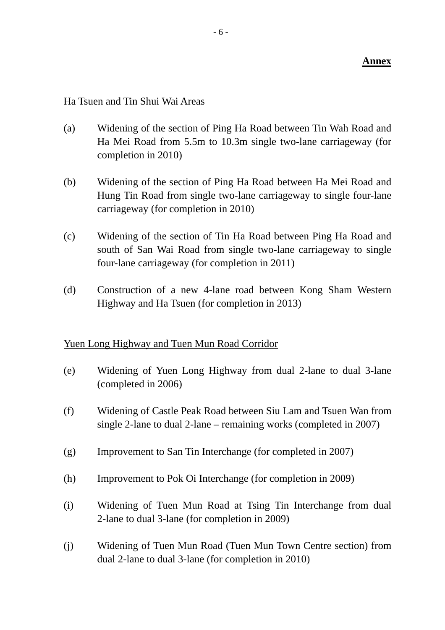## **Annex**

# Ha Tsuen and Tin Shui Wai Areas

- (a) Widening of the section of Ping Ha Road between Tin Wah Road and Ha Mei Road from 5.5m to 10.3m single two-lane carriageway (for completion in 2010)
- (b) Widening of the section of Ping Ha Road between Ha Mei Road and Hung Tin Road from single two-lane carriageway to single four-lane carriageway (for completion in 2010)
- (c) Widening of the section of Tin Ha Road between Ping Ha Road and south of San Wai Road from single two-lane carriageway to single four-lane carriageway (for completion in 2011)
- (d) Construction of a new 4-lane road between Kong Sham Western Highway and Ha Tsuen (for completion in 2013)

## Yuen Long Highway and Tuen Mun Road Corridor

- (e) Widening of Yuen Long Highway from dual 2-lane to dual 3-lane (completed in 2006)
- (f) Widening of Castle Peak Road between Siu Lam and Tsuen Wan from single 2-lane to dual 2-lane – remaining works (completed in 2007)
- (g) Improvement to San Tin Interchange (for completed in 2007)
- (h) Improvement to Pok Oi Interchange (for completion in 2009)
- (i) Widening of Tuen Mun Road at Tsing Tin Interchange from dual 2-lane to dual 3-lane (for completion in 2009)
- (j) Widening of Tuen Mun Road (Tuen Mun Town Centre section) from dual 2-lane to dual 3-lane (for completion in 2010)